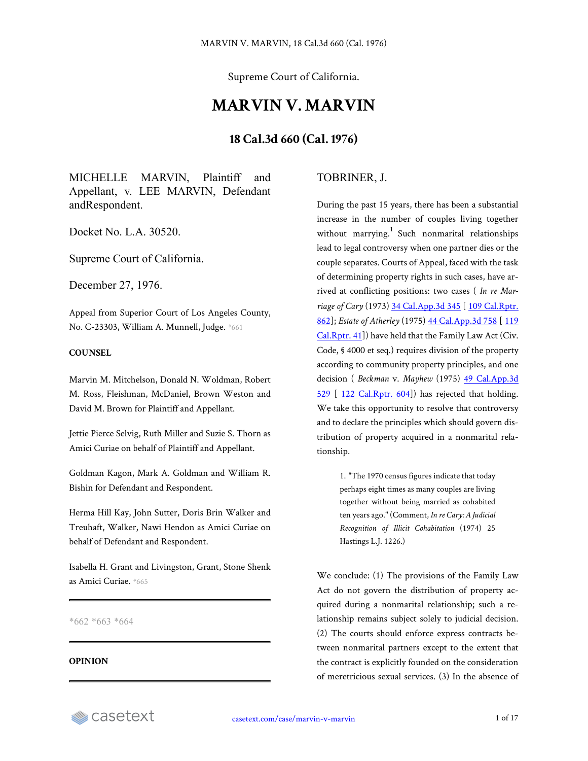Supreme Court of California.

# **MARVIN V. MARVIN**

### **18 Cal.3d 660 (Cal. 1976)**

MICHELLE MARVIN, Plaintiff and Appellant, v. LEE MARVIN, Defendant andRespondent.

Docket No. L.A. 30520.

Supreme Court of California.

December 27, 1976.

Appeal from Superior Court of Los Angeles County, No. C-23303, William A. Munnell, Judge. \*661

#### **COUNSEL**

Marvin M. Mitchelson, Donald N. Woldman, Robert M. Ross, Fleishman, McDaniel, Brown Weston and David M. Brown for Plaintiff and Appellant.

Jettie Pierce Selvig, Ruth Miller and Suzie S. Thorn as Amici Curiae on behalf of Plaintiff and Appellant.

Goldman Kagon, Mark A. Goldman and William R. Bishin for Defendant and Respondent.

Herma Hill Kay, John Sutter, Doris Brin Walker and Treuhaft, Walker, Nawi Hendon as Amici Curiae on behalf of Defendant and Respondent.

Isabella H. Grant and Livingston, Grant, Stone Shenk as Amici Curiae. \*665

\*662 \*663 \*664

### **OPINION**

TOBRINER, J.

During the past 15 years, there has been a substantial increase in the number of couples living together without marrying. $^1$  Such nonmarital relationships lead to legal controversy when one partner dies or the couple separates. Courts of Appeal, faced with the task of determining property rights in such cases, have arrived at conflicting positions: two cases ( *In re Marriage of Cary* (1973) 34 [Cal.App.3d](https://casetext.com/case/in-re-marriage-of-cary) 345 [ 109 [Cal.Rptr.](https://casetext.com/case/in-re-marriage-of-cary) [862](https://casetext.com/case/in-re-marriage-of-cary)]; *Estate of Atherley* (1975) 44 [Cal.App.3d](https://casetext.com/case/estate-of-atherley) 758 [ [119](https://casetext.com/case/estate-of-atherley) [Cal.Rptr.](https://casetext.com/case/estate-of-atherley) 41]) have held that the Family Law Act (Civ. Code, § 4000 et seq.) requires division of the property according to community property principles, and one decision ( *Beckman* v. *Mayhew* (1975) 49 [Cal.App.3d](https://casetext.com/case/beckman-v-mayhew) [529](https://casetext.com/case/beckman-v-mayhew) [ 122 [Cal.Rptr.](https://casetext.com/case/beckman-v-mayhew) 604]) has rejected that holding. We take this opportunity to resolve that controversy and to declare the principles which should govern distribution of property acquired in a nonmarital relationship.

> 1. "The 1970 census figures indicate that today perhaps eight times as many couples are living together without being married as cohabited ten years ago." (Comment, *In re Cary: A Judicial Recognition of Illicit Cohabitation* (1974) 25 Hastings L.J. 1226.)

We conclude: (1) The provisions of the Family Law Act do not govern the distribution of property acquired during a nonmarital relationship; such a relationship remains subject solely to judicial decision. (2) The courts should enforce express contracts between nonmarital partners except to the extent that the contract is explicitly founded on the consideration of meretricious sexual services. (3) In the absence of

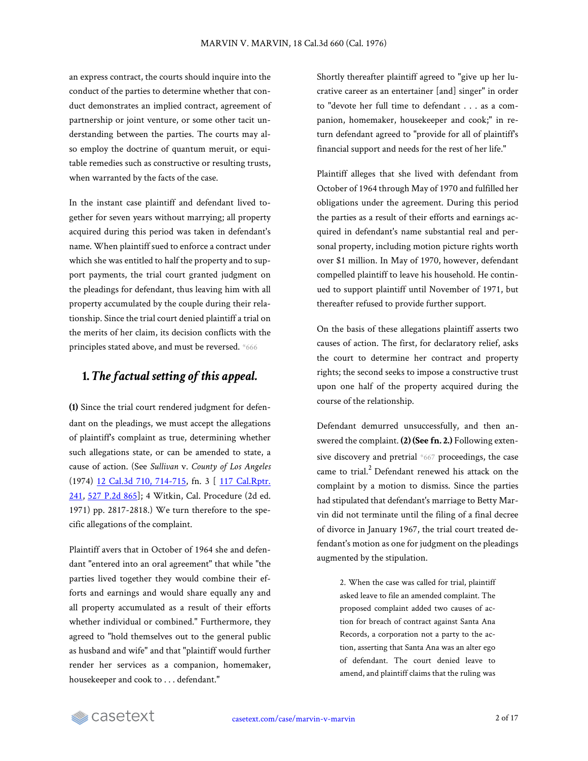an express contract, the courts should inquire into the conduct of the parties to determine whether that conduct demonstrates an implied contract, agreement of partnership or joint venture, or some other tacit understanding between the parties. The courts may also employ the doctrine of quantum meruit, or equitable remedies such as constructive or resulting trusts, when warranted by the facts of the case.

In the instant case plaintiff and defendant lived together for seven years without marrying; all property acquired during this period was taken in defendant's name. When plaintiff sued to enforce a contract under which she was entitled to half the property and to support payments, the trial court granted judgment on the pleadings for defendant, thus leaving him with all property accumulated by the couple during their relationship. Since the trial court denied plaintiff a trial on the merits of her claim, its decision conflicts with the principles stated above, and must be reversed. \*666

## **1.** *The factual setting of this appeal.*

**(1)** Since the trial court rendered judgment for defendant on the pleadings, we must accept the allegations of plaintiff's complaint as true, determining whether such allegations state, or can be amended to state, a cause of action. (See *Sullivan* v. *County of Los Angeles* (1974) 12 Cal.3d 710, [714-715,](https://casetext.com/case/sullivan-v-county-of-los-angeles#p714) fn. 3 [ 117 [Cal.Rptr.](https://casetext.com/case/sullivan-v-county-of-los-angeles) [241](https://casetext.com/case/sullivan-v-county-of-los-angeles), 527 [P.2d](https://casetext.com/case/sullivan-v-county-of-los-angeles) 865]; 4 Witkin, Cal. Procedure (2d ed. 1971) pp. 2817-2818.) We turn therefore to the specific allegations of the complaint.

Plaintiff avers that in October of 1964 she and defendant "entered into an oral agreement" that while "the parties lived together they would combine their efforts and earnings and would share equally any and all property accumulated as a result of their efforts whether individual or combined." Furthermore, they agreed to "hold themselves out to the general public as husband and wife" and that "plaintiff would further render her services as a companion, homemaker, housekeeper and cook to . . . defendant."

Shortly thereafter plaintiff agreed to "give up her lucrative career as an entertainer [and] singer" in order to "devote her full time to defendant . . . as a companion, homemaker, housekeeper and cook;" in return defendant agreed to "provide for all of plaintiff's financial support and needs for the rest of her life."

Plaintiff alleges that she lived with defendant from October of 1964 through May of 1970 and fulfilled her obligations under the agreement. During this period the parties as a result of their efforts and earnings acquired in defendant's name substantial real and personal property, including motion picture rights worth over \$1 million. In May of 1970, however, defendant compelled plaintiff to leave his household. He continued to support plaintiff until November of 1971, but thereafter refused to provide further support.

On the basis of these allegations plaintiff asserts two causes of action. The first, for declaratory relief, asks the court to determine her contract and property rights; the second seeks to impose a constructive trust upon one half of the property acquired during the course of the relationship.

Defendant demurred unsuccessfully, and then answered the complaint. **(2) (See fn. 2.)** Following extensive discovery and pretrial \*667 proceedings, the case came to trial. $^{2}$  Defendant renewed his attack on the complaint by a motion to dismiss. Since the parties had stipulated that defendant's marriage to Betty Marvin did not terminate until the filing of a final decree of divorce in January 1967, the trial court treated defendant's motion as one for judgment on the pleadings augmented by the stipulation.

> 2. When the case was called for trial, plaintiff asked leave to file an amended complaint. The proposed complaint added two causes of action for breach of contract against Santa Ana Records, a corporation not a party to the action, asserting that Santa Ana was an alter ego of defendant. The court denied leave to amend, and plaintiff claims that the ruling was

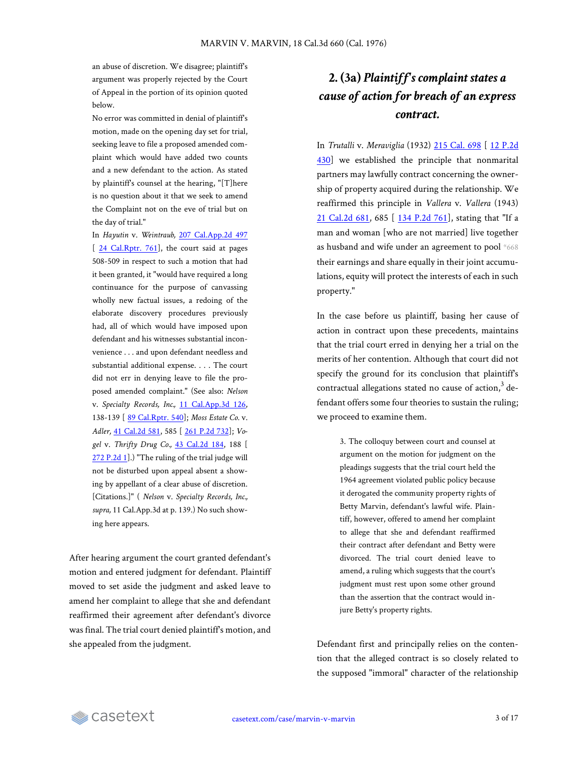an abuse of discretion. We disagree; plaintiff's argument was properly rejected by the Court of Appeal in the portion of its opinion quoted below.

No error was committed in denial of plaintiff's motion, made on the opening day set for trial, seeking leave to file a proposed amended complaint which would have added two counts and a new defendant to the action. As stated by plaintiff's counsel at the hearing, "[T]here is no question about it that we seek to amend the Complaint not on the eve of trial but on the day of trial."

In *Hayutin* v. *Weintraub,* 207 [Cal.App.2d](https://casetext.com/case/hayutin-v-weintraub) 497 [ 24 [Cal.Rptr.](https://casetext.com/case/hayutin-v-weintraub) 761], the court said at pages 508-509 in respect to such a motion that had it been granted, it "would have required a long continuance for the purpose of canvassing wholly new factual issues, a redoing of the elaborate discovery procedures previously had, all of which would have imposed upon defendant and his witnesses substantial inconvenience . . . and upon defendant needless and substantial additional expense. . . . The court did not err in denying leave to file the proposed amended complaint." (See also: *Nelson* v. *Specialty Records, Inc.,* 11 [Cal.App.3d](https://casetext.com/case/nelson-v-specialty-records-inc) 126, 138-139 [ 89 [Cal.Rptr.](https://casetext.com/case/nelson-v-specialty-records-inc) 540]; *Moss Estate Co.* v. *Adler,* 41 [Cal.2d](https://casetext.com/case/moss-estate-co-v-adler) 581, 585 [ 261 [P.2d](https://casetext.com/case/moss-estate-co-v-adler) 732]; *Vogel* v. *Thrifty Drug Co.,* 43 [Cal.2d](https://casetext.com/case/vogel-v-thrifty-drug-co) 184, 188 [ 272 [P.2d](https://casetext.com/case/vogel-v-thrifty-drug-co) 1].) "The ruling of the trial judge will not be disturbed upon appeal absent a showing by appellant of a clear abuse of discretion. [Citations.]" ( *Nelson* v. *Specialty Records, Inc., supra,* 11 Cal.App.3d at p. 139.) No such showing here appears.

After hearing argument the court granted defendant's motion and entered judgment for defendant. Plaintiff moved to set aside the judgment and asked leave to amend her complaint to allege that she and defendant reaffirmed their agreement after defendant's divorce was final. The trial court denied plaintiff's motion, and she appealed from the judgment.

## **2. (3a)** *Plaintiff's complaint states a cause of action for breach of an express contract.*

In *Trutalli* v. *Meraviglia* (1932) 215 [Cal.](https://casetext.com/case/trutalli-v-meraviglia) 698 [ 12 [P.2d](https://casetext.com/case/trutalli-v-meraviglia) [430](https://casetext.com/case/trutalli-v-meraviglia)] we established the principle that nonmarital partners may lawfully contract concerning the ownership of property acquired during the relationship. We reaffirmed this principle in *Vallera* v. *Vallera* (1943) 21 [Cal.2d](https://casetext.com/case/vallera-v-vallera-4) 681, 685 [ 134 [P.2d](https://casetext.com/case/vallera-v-vallera-4) 761], stating that "If a man and woman [who are not married] live together as husband and wife under an agreement to pool \*668 their earnings and share equally in their joint accumulations, equity will protect the interests of each in such property."

In the case before us plaintiff, basing her cause of action in contract upon these precedents, maintains that the trial court erred in denying her a trial on the merits of her contention. Although that court did not specify the ground for its conclusion that plaintiff's contractual allegations stated no cause of action, $^3$  defendant offers some four theories to sustain the ruling; we proceed to examine them.

> 3. The colloquy between court and counsel at argument on the motion for judgment on the pleadings suggests that the trial court held the 1964 agreement violated public policy because it derogated the community property rights of Betty Marvin, defendant's lawful wife. Plaintiff, however, offered to amend her complaint to allege that she and defendant reaffirmed their contract after defendant and Betty were divorced. The trial court denied leave to amend, a ruling which suggests that the court's judgment must rest upon some other ground than the assertion that the contract would injure Betty's property rights.

Defendant first and principally relies on the contention that the alleged contract is so closely related to the supposed "immoral" character of the relationship

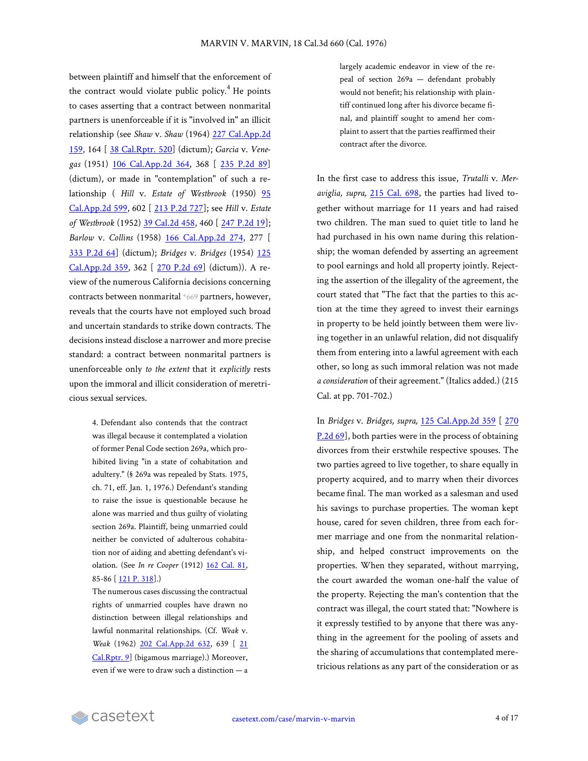between plaintiff and himself that the enforcement of the contract would violate public policy. $4$  He points to cases asserting that a contract between nonmarital partners is unenforceable if it is "involved in" an illicit relationship (see *Shaw* v. *Shaw* (1964) 227 [Cal.App.2d](https://casetext.com/case/shaw-v-shaw-7) [159](https://casetext.com/case/shaw-v-shaw-7), 164 [ 38 [Cal.Rptr.](https://casetext.com/case/shaw-v-shaw-7) 520] (dictum); *Garcia* v. *Venegas* (1951) 106 [Cal.App.2d](https://casetext.com/case/garcia-v-venegas) 364, 368 [ 235 [P.2d](https://casetext.com/case/garcia-v-venegas) 89] (dictum), or made in "contemplation" of such a relationship ( *Hill* v. *Estate of Westbrook* (1950) [95](https://casetext.com/case/hill-v-estate-of-westbrook-1) [Cal.App.2d](https://casetext.com/case/hill-v-estate-of-westbrook-1) 599, 602 [ 213 [P.2d](https://casetext.com/case/hill-v-estate-of-westbrook-1) 727]; see *Hill* v. *Estate of Westbrook* (1952) 39 [Cal.2d](https://casetext.com/case/hill-v-estate-of-westbrook) 458, 460 [ 247 [P.2d](https://casetext.com/case/hill-v-estate-of-westbrook) 19]; *Barlow* v. *Collins* (1958) 166 [Cal.App.2d](https://casetext.com/case/barlow-v-collins-4) 274, 277 [ 333 [P.2d](https://casetext.com/case/barlow-v-collins-4) 64] (dictum); *Bridges* v. *Bridges* (1954) [125](https://casetext.com/case/bridges-v-bridges-1) [Cal.App.2d](https://casetext.com/case/bridges-v-bridges-1) 359, 362 [ 270 [P.2d](https://casetext.com/case/bridges-v-bridges-1) 69] (dictum)). A review of the numerous California decisions concerning contracts between nonmarital \*669 partners, however, reveals that the courts have not employed such broad and uncertain standards to strike down contracts. The decisions instead disclose a narrower and more precise standard: a contract between nonmarital partners is unenforceable only *to the extent* that it *explicitly* rests upon the immoral and illicit consideration of meretricious sexual services.

> 4. Defendant also contends that the contract was illegal because it contemplated a violation of former Penal Code section 269a, which prohibited living "in a state of cohabitation and adultery." (§ 269a was repealed by Stats. 1975, ch. 71, eff. Jan. 1, 1976.) Defendant's standing to raise the issue is questionable because he alone was married and thus guilty of violating section 269a. Plaintiff, being unmarried could neither be convicted of adulterous cohabitation nor of aiding and abetting defendant's violation. (See *In re Cooper* (1912) 162 [Cal.](https://casetext.com/case/in-re-cooper-26) 81, 85-86 [ [121 P. 318\]](https://casetext.com/case/in-re-cooper-26).)

> The numerous cases discussing the contractual rights of unmarried couples have drawn no distinction between illegal relationships and lawful nonmarital relationships. (Cf. *Weak* v. *Weak* (1962) 202 [Cal.App.2d](https://casetext.com/case/weak-v-weak) 632, 639 [ [21](https://casetext.com/case/weak-v-weak) [Cal.Rptr.](https://casetext.com/case/weak-v-weak) 9] (bigamous marriage).) Moreover, even if we were to draw such a distinction — a

largely academic endeavor in view of the repeal of section 269a — defendant probably would not benefit; his relationship with plaintiff continued long after his divorce became final, and plaintiff sought to amend her complaint to assert that the parties reaffirmed their contract after the divorce.

In the first case to address this issue, *Trutalli* v. *Meraviglia, supra,* 215 [Cal.](https://casetext.com/case/trutalli-v-meraviglia) 698, the parties had lived together without marriage for 11 years and had raised two children. The man sued to quiet title to land he had purchased in his own name during this relationship; the woman defended by asserting an agreement to pool earnings and hold all property jointly. Rejecting the assertion of the illegality of the agreement, the court stated that "The fact that the parties to this action at the time they agreed to invest their earnings in property to be held jointly between them were living together in an unlawful relation, did not disqualify them from entering into a lawful agreement with each other, so long as such immoral relation was not made *a consideration* of their agreement." (Italics added.) (215 Cal. at pp. 701-702.)

In *Bridges* v. *Bridges, supra,* 125 [Cal.App.2d](https://casetext.com/case/bridges-v-bridges-1) 359 [ [270](https://casetext.com/case/bridges-v-bridges-1) [P.2d](https://casetext.com/case/bridges-v-bridges-1) 69], both parties were in the process of obtaining divorces from their erstwhile respective spouses. The two parties agreed to live together, to share equally in property acquired, and to marry when their divorces became final. The man worked as a salesman and used his savings to purchase properties. The woman kept house, cared for seven children, three from each former marriage and one from the nonmarital relationship, and helped construct improvements on the properties. When they separated, without marrying, the court awarded the woman one-half the value of the property. Rejecting the man's contention that the contract was illegal, the court stated that: "Nowhere is it expressly testified to by anyone that there was anything in the agreement for the pooling of assets and the sharing of accumulations that contemplated meretricious relations as any part of the consideration or as

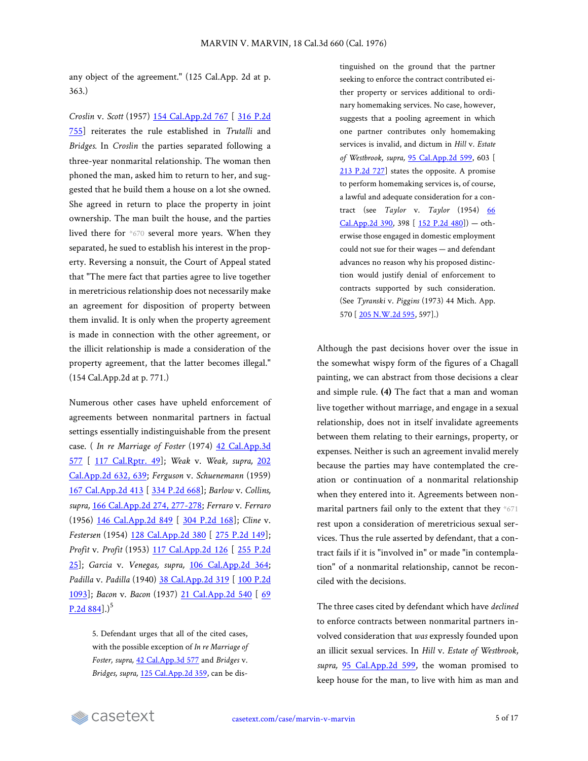any object of the agreement." (125 Cal.App. 2d at p. 363.)

*Croslin* v. *Scott* (1957) 154 [Cal.App.2d](https://casetext.com/case/croslin-v-scott) 767 [ 316 [P.2d](https://casetext.com/case/croslin-v-scott) [755](https://casetext.com/case/croslin-v-scott)] reiterates the rule established in *Trutalli* and *Bridges.* In *Croslin* the parties separated following a three-year nonmarital relationship. The woman then phoned the man, asked him to return to her, and suggested that he build them a house on a lot she owned. She agreed in return to place the property in joint ownership. The man built the house, and the parties lived there for \*670 several more years. When they separated, he sued to establish his interest in the property. Reversing a nonsuit, the Court of Appeal stated that "The mere fact that parties agree to live together in meretricious relationship does not necessarily make an agreement for disposition of property between them invalid. It is only when the property agreement is made in connection with the other agreement, or the illicit relationship is made a consideration of the property agreement, that the latter becomes illegal." (154 Cal.App.2d at p. 771.)

Numerous other cases have upheld enforcement of agreements between nonmarital partners in factual settings essentially indistinguishable from the present case. ( *In re Marriage of Foster* (1974) 42 [Cal.App.3d](https://casetext.com/case/in-re-marriage-of-foster-1) [577](https://casetext.com/case/in-re-marriage-of-foster-1) [ 117 [Cal.Rptr.](https://casetext.com/case/in-re-marriage-of-foster-1) 49]; *Weak* v. *Weak, supra,* [202](https://casetext.com/case/weak-v-weak#p639) [Cal.App.2d](https://casetext.com/case/weak-v-weak#p639) 632, 639; *Ferguson* v. *Schuenemann* (1959) 167 [Cal.App.2d](https://casetext.com/case/ferguson-v-schuenemann) 413 [ 334 [P.2d](https://casetext.com/case/ferguson-v-schuenemann) 668]; *Barlow* v. *Collins, supra,* 166 [Cal.App.2d](https://casetext.com/case/barlow-v-collins-4#p277) 274, 277-278; *Ferraro* v. *Ferraro* (1956) 146 [Cal.App.2d](https://casetext.com/case/ferraro-v-ferraro-1) 849 [ 304 [P.2d](https://casetext.com/case/ferraro-v-ferraro-1) 168]; *Cline* v. *Festersen* (1954) 128 [Cal.App.2d](https://casetext.com/case/cline-v-festersen) 380 [ 275 [P.2d](https://casetext.com/case/cline-v-festersen) 149]; *Profit* v. *Profit* (1953) 117 [Cal.App.2d](https://casetext.com/case/profit-v-profit) 126 [ 255 [P.2d](https://casetext.com/case/profit-v-profit) [25](https://casetext.com/case/profit-v-profit)]; *Garcia* v. *Venegas, supra,* 106 [Cal.App.2d](https://casetext.com/case/garcia-v-venegas) 364; *Padilla* v. *Padilla* (1940) 38 [Cal.App.2d](https://casetext.com/case/padilla-v-padilla-1) 319 [ 100 [P.2d](https://casetext.com/case/padilla-v-padilla-1) [1093\]](https://casetext.com/case/padilla-v-padilla-1); *Bacon* v. *Bacon* (1937) 21 [Cal.App.2d](https://casetext.com/case/bacon-v-bacon-12) 540 [ [69](https://casetext.com/case/bacon-v-bacon-12) P.2d  $884$ ].)<sup>5</sup>

> 5. Defendant urges that all of the cited cases, with the possible exception of *In re Marriage of Foster, supra,* 42 [Cal.App.3d](https://casetext.com/case/in-re-marriage-of-foster-1) 577 and *Bridges* v. *Bridges, supra,* 125 [Cal.App.2d](https://casetext.com/case/bridges-v-bridges-1) 359, can be dis-

tinguished on the ground that the partner seeking to enforce the contract contributed either property or services additional to ordinary homemaking services. No case, however, suggests that a pooling agreement in which one partner contributes only homemaking services is invalid, and dictum in *Hill* v. *Estate of Westbrook, supra,* 95 [Cal.App.2d](https://casetext.com/case/hill-v-estate-of-westbrook-1) 599, 603 [ 213 [P.2d](https://casetext.com/case/hill-v-estate-of-westbrook-1) 727] states the opposite. A promise to perform homemaking services is, of course, a lawful and adequate consideration for a contract (see *Taylor* v. *Taylor* (1954) [66](https://casetext.com/case/taylor-v-taylor-58) [Cal.App.2d](https://casetext.com/case/taylor-v-taylor-58) 390, 398  $[152 P.2d 480]$  $[152 P.2d 480]$  $[152 P.2d 480]$   $-$  otherwise those engaged in domestic employment could not sue for their wages — and defendant advances no reason why his proposed distinction would justify denial of enforcement to contracts supported by such consideration. (See *Tyranski* v. *Piggins* (1973) 44 Mich. App. 570 [ [205 N.W.2d 595](https://casetext.com/case/tyranski-v-piggins), 597].)

Although the past decisions hover over the issue in the somewhat wispy form of the figures of a Chagall painting, we can abstract from those decisions a clear and simple rule. **(4)** The fact that a man and woman live together without marriage, and engage in a sexual relationship, does not in itself invalidate agreements between them relating to their earnings, property, or expenses. Neither is such an agreement invalid merely because the parties may have contemplated the creation or continuation of a nonmarital relationship when they entered into it. Agreements between nonmarital partners fail only to the extent that they \*671 rest upon a consideration of meretricious sexual services. Thus the rule asserted by defendant, that a contract fails if it is "involved in" or made "in contemplation" of a nonmarital relationship, cannot be reconciled with the decisions.

The three cases cited by defendant which have *declined* to enforce contracts between nonmarital partners involved consideration that *was* expressly founded upon an illicit sexual services. In *Hill* v. *Estate of Westbrook, supra,* 95 [Cal.App.2d](https://casetext.com/case/hill-v-estate-of-westbrook-1) 599, the woman promised to keep house for the man, to live with him as man and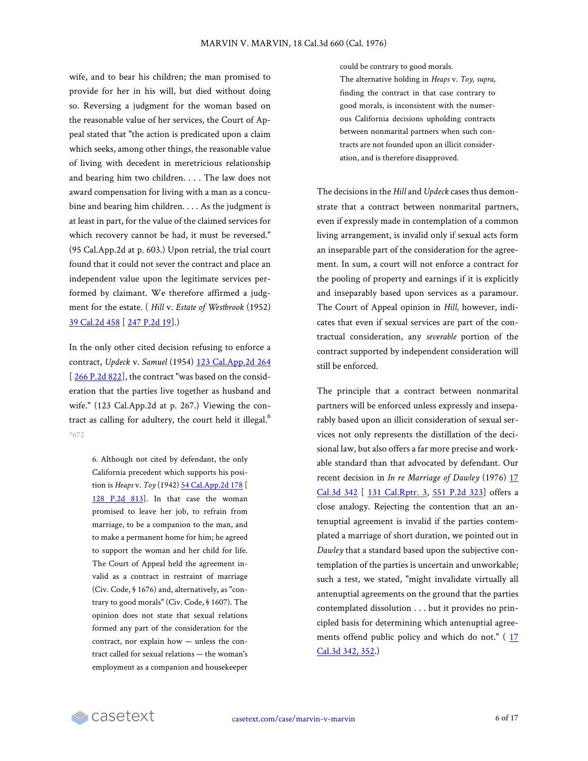wife, and to bear his children; the man promised to provide for her in his will, but died without doing so. Reversing a judgment for the woman based on the reasonable value of her services, the Court of Appeal stated that "the action is predicated upon a claim which seeks, among other things, the reasonable value of living with decedent in meretricious relationship and bearing him two children. . . . The law does not award compensation for living with a man as a concubine and bearing him children. . . . As the judgment is at least in part, for the value of the claimed services for which recovery cannot be had, it must be reversed." (95 Cal.App.2d at p. 603.) Upon retrial, the trial court found that it could not sever the contract and place an independent value upon the legitimate services performed by claimant. We therefore affirmed a judgment for the estate. ( *Hill* v. *Estate of Westbrook* (1952) [39 Cal.2d 458](https://casetext.com/case/hill-v-estate-of-westbrook) [ [247 P.2d 19](https://casetext.com/case/hill-v-estate-of-westbrook)].)

In the only other cited decision refusing to enforce a contract, *Updeck* v. *Samuel* (1954) 123 [Cal.App.2d](https://casetext.com/case/updeck-v-samuel) 264 [  $266$  [P.2d](https://casetext.com/case/updeck-v-samuel) 822], the contract "was based on the consideration that the parties live together as husband and wife." (123 Cal.App.2d at p. 267.) Viewing the contract as calling for adultery, the court held it illegal.<sup>6</sup> \*672

> 6. Although not cited by defendant, the only California precedent which supports his position is *Heaps* v. *Toy* (1942) 54 [Cal.App.2d](https://casetext.com/case/heaps-v-toy) 178 [ 128 [P.2d](https://casetext.com/case/heaps-v-toy) 813]. In that case the woman promised to leave her job, to refrain from marriage, to be a companion to the man, and to make a permanent home for him; he agreed to support the woman and her child for life. The Court of Appeal held the agreement invalid as a contract in restraint of marriage (Civ. Code, § 1676) and, alternatively, as "contrary to good morals" (Civ. Code, § 1607). The opinion does not state that sexual relations formed any part of the consideration for the contract, nor explain how — unless the contract called for sexual relations — the woman's employment as a companion and housekeeper

could be contrary to good morals.

The alternative holding in *Heaps* v. *Toy, supra,* finding the contract in that case contrary to good morals, is inconsistent with the numerous California decisions upholding contracts between nonmarital partners when such contracts are not founded upon an illicit consideration, and is therefore disapproved.

The decisions in the *Hill* and *Updeck* cases thus demonstrate that a contract between nonmarital partners, even if expressly made in contemplation of a common living arrangement, is invalid only if sexual acts form an inseparable part of the consideration for the agreement. In sum, a court will not enforce a contract for the pooling of property and earnings if it is explicitly and inseparably based upon services as a paramour. The Court of Appeal opinion in *Hill,* however, indicates that even if sexual services are part of the contractual consideration, any *severable* portion of the contract supported by independent consideration will still be enforced.

The principle that a contract between nonmarital partners will be enforced unless expressly and inseparably based upon an illicit consideration of sexual services not only represents the distillation of the decisional law, but also offers a far more precise and workable standard than that advocated by defendant. Our recent decision in *In re Marriage of Dawley* (1976) [17](https://casetext.com/case/in-re-marriage-of-dawley) [Cal.3d](https://casetext.com/case/in-re-marriage-of-dawley) 342 [ 131 [Cal.Rptr.](https://casetext.com/case/in-re-marriage-of-dawley) 3, 551 [P.2d](https://casetext.com/case/in-re-marriage-of-dawley) 323] offers a close analogy. Rejecting the contention that an antenuptial agreement is invalid if the parties contemplated a marriage of short duration, we pointed out in *Dawley* that a standard based upon the subjective contemplation of the parties is uncertain and unworkable; such a test, we stated, "might invalidate virtually all antenuptial agreements on the ground that the parties contemplated dissolution . . . but it provides no principled basis for determining which antenuptial agree-ments offend public policy and which do not." ([17](https://casetext.com/case/in-re-marriage-of-dawley#p352) [Cal.3d 342, 352](https://casetext.com/case/in-re-marriage-of-dawley#p352).)

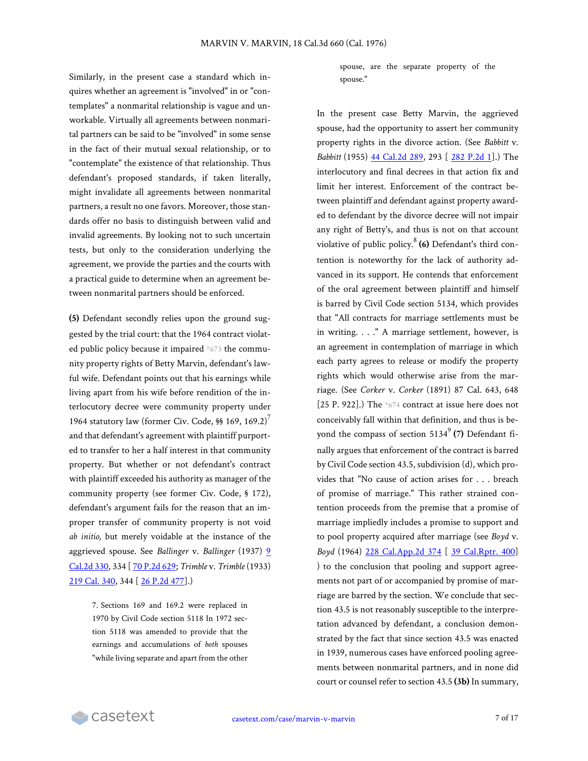Similarly, in the present case a standard which inquires whether an agreement is "involved" in or "contemplates" a nonmarital relationship is vague and unworkable. Virtually all agreements between nonmarital partners can be said to be "involved" in some sense in the fact of their mutual sexual relationship, or to "contemplate" the existence of that relationship. Thus defendant's proposed standards, if taken literally, might invalidate all agreements between nonmarital partners, a result no one favors. Moreover, those standards offer no basis to distinguish between valid and invalid agreements. By looking not to such uncertain tests, but only to the consideration underlying the agreement, we provide the parties and the courts with a practical guide to determine when an agreement between nonmarital partners should be enforced.

**(5)** Defendant secondly relies upon the ground suggested by the trial court: that the 1964 contract violated public policy because it impaired \*673 the community property rights of Betty Marvin, defendant's lawful wife. Defendant points out that his earnings while living apart from his wife before rendition of the interlocutory decree were community property under 1964 statutory law (former Civ. Code, §§ 169, 169.2)<sup>7</sup> and that defendant's agreement with plaintiff purported to transfer to her a half interest in that community property. But whether or not defendant's contract with plaintiff exceeded his authority as manager of the community property (see former Civ. Code, § 172), defendant's argument fails for the reason that an improper transfer of community property is not void *ab initio,* but merely voidable at the instance of the aggrieved spouse. See *Ballinger* v. *Ballinger* (1937) [9](https://casetext.com/case/ballinger-v-ballinger-2) [Cal.2d](https://casetext.com/case/ballinger-v-ballinger-2) 330, 334 [ 70 [P.2d](https://casetext.com/case/ballinger-v-ballinger-2) 629; *Trimble* v. *Trimble* (1933) [219 Cal. 340](https://casetext.com/case/trimble-v-trimble), 344 [ [26 P.2d 477](https://casetext.com/case/trimble-v-trimble)].)

> 7. Sections 169 and 169.2 were replaced in 1970 by Civil Code section 5118 In 1972 section 5118 was amended to provide that the earnings and accumulations of *both* spouses "while living separate and apart from the other

spouse, are the separate property of the spouse."

In the present case Betty Marvin, the aggrieved spouse, had the opportunity to assert her community property rights in the divorce action. (See *Babbitt* v. *Babbitt* (1955) 44 [Cal.2d](https://casetext.com/case/babbitt-v-babbitt) 289, 293 [ 282 [P.2d](https://casetext.com/case/babbitt-v-babbitt) 1].) The interlocutory and final decrees in that action fix and limit her interest. Enforcement of the contract between plaintiff and defendant against property awarded to defendant by the divorce decree will not impair any right of Betty's, and thus is not on that account violative of public policy.<sup>8</sup> **(6)** Defendant's third contention is noteworthy for the lack of authority advanced in its support. He contends that enforcement of the oral agreement between plaintiff and himself is barred by Civil Code section 5134, which provides that "All contracts for marriage settlements must be in writing. . . ." A marriage settlement, however, is an agreement in contemplation of marriage in which each party agrees to release or modify the property rights which would otherwise arise from the marriage. (See *Corker* v. *Corker* (1891) 87 Cal. 643, 648 [25 P. 922].) The \*674 contract at issue here does not conceivably fall within that definition, and thus is beyond the compass of section 5134<sup>9</sup> (7) Defendant finally argues that enforcement of the contract is barred by Civil Code section 43.5, subdivision (d), which provides that "No cause of action arises for . . . breach of promise of marriage." This rather strained contention proceeds from the premise that a promise of marriage impliedly includes a promise to support and to pool property acquired after marriage (see *Boyd* v. *Boyd* (1964) 228 [Cal.App.2d](https://casetext.com/case/boyd-v-boyd-23) 374 [ 39 [Cal.Rptr.](https://casetext.com/case/boyd-v-boyd-23) 400] ) to the conclusion that pooling and support agreements not part of or accompanied by promise of marriage are barred by the section. We conclude that section 43.5 is not reasonably susceptible to the interpretation advanced by defendant, a conclusion demonstrated by the fact that since section 43.5 was enacted in 1939, numerous cases have enforced pooling agreements between nonmarital partners, and in none did court or counsel refer to section 43.5 (3b) In summary,

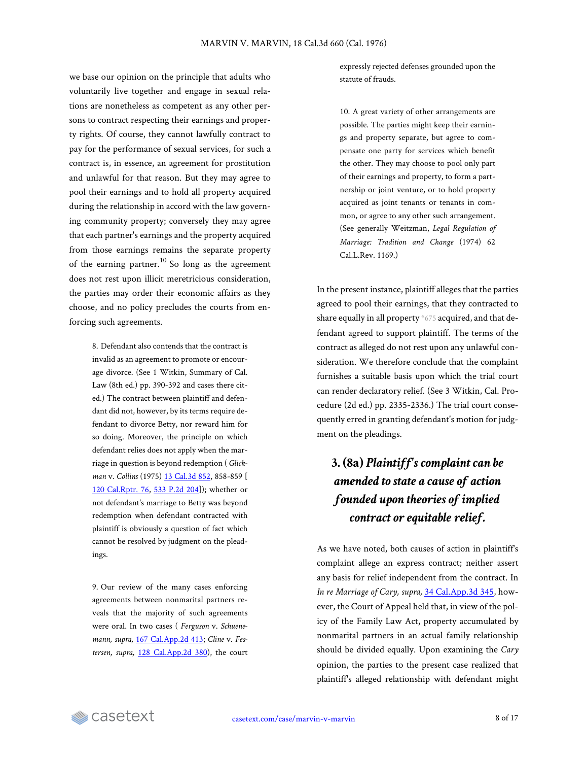we base our opinion on the principle that adults who voluntarily live together and engage in sexual relations are nonetheless as competent as any other persons to contract respecting their earnings and property rights. Of course, they cannot lawfully contract to pay for the performance of sexual services, for such a contract is, in essence, an agreement for prostitution and unlawful for that reason. But they may agree to pool their earnings and to hold all property acquired during the relationship in accord with the law governing community property; conversely they may agree that each partner's earnings and the property acquired from those earnings remains the separate property of the earning partner.<sup>10</sup> So long as the agreement does not rest upon illicit meretricious consideration, the parties may order their economic affairs as they choose, and no policy precludes the courts from enforcing such agreements.

> 8. Defendant also contends that the contract is invalid as an agreement to promote or encourage divorce. (See 1 Witkin, Summary of Cal. Law (8th ed.) pp. 390-392 and cases there cited.) The contract between plaintiff and defendant did not, however, by its terms require defendant to divorce Betty, nor reward him for so doing. Moreover, the principle on which defendant relies does not apply when the marriage in question is beyond redemption ( *Glickman* v. *Collins* (1975) 13 [Cal.3d](https://casetext.com/case/glickman-v-collins) 852, 858-859 [ 120 [Cal.Rptr.](https://casetext.com/case/glickman-v-collins) 76, 533 [P.2d](https://casetext.com/case/glickman-v-collins) 204]); whether or not defendant's marriage to Betty was beyond redemption when defendant contracted with plaintiff is obviously a question of fact which cannot be resolved by judgment on the pleadings.

> 9. Our review of the many cases enforcing agreements between nonmarital partners reveals that the majority of such agreements were oral. In two cases ( *Ferguson* v. *Schuenemann, supra,* 167 [Cal.App.2d](https://casetext.com/case/ferguson-v-schuenemann) 413; *Cline* v. *Festersen, supra,* 128 [Cal.App.2d](https://casetext.com/case/cline-v-festersen) 380), the court

expressly rejected defenses grounded upon the statute of frauds.

10. A great variety of other arrangements are possible. The parties might keep their earnings and property separate, but agree to compensate one party for services which benefit the other. They may choose to pool only part of their earnings and property, to form a partnership or joint venture, or to hold property acquired as joint tenants or tenants in common, or agree to any other such arrangement. (See generally Weitzman, *Legal Regulation of Marriage: Tradition and Change* (1974) 62 Cal.L.Rev. 1169.)

In the present instance, plaintiff alleges that the parties agreed to pool their earnings, that they contracted to share equally in all property \*675 acquired, and that defendant agreed to support plaintiff. The terms of the contract as alleged do not rest upon any unlawful consideration. We therefore conclude that the complaint furnishes a suitable basis upon which the trial court can render declaratory relief. (See 3 Witkin, Cal. Procedure (2d ed.) pp. 2335-2336.) The trial court consequently erred in granting defendant's motion for judgment on the pleadings.

# **3. (8a)** *Plaintiff's complaint can be amended to state a cause of action founded upon theories of implied contract or equitable relief.*

As we have noted, both causes of action in plaintiff's complaint allege an express contract; neither assert any basis for relief independent from the contract. In *In re Marriage of Cary, supra,* 34 [Cal.App.3d](https://casetext.com/case/in-re-marriage-of-cary) 345, however, the Court of Appeal held that, in view of the policy of the Family Law Act, property accumulated by nonmarital partners in an actual family relationship should be divided equally. Upon examining the *Cary* opinion, the parties to the present case realized that plaintiff's alleged relationship with defendant might

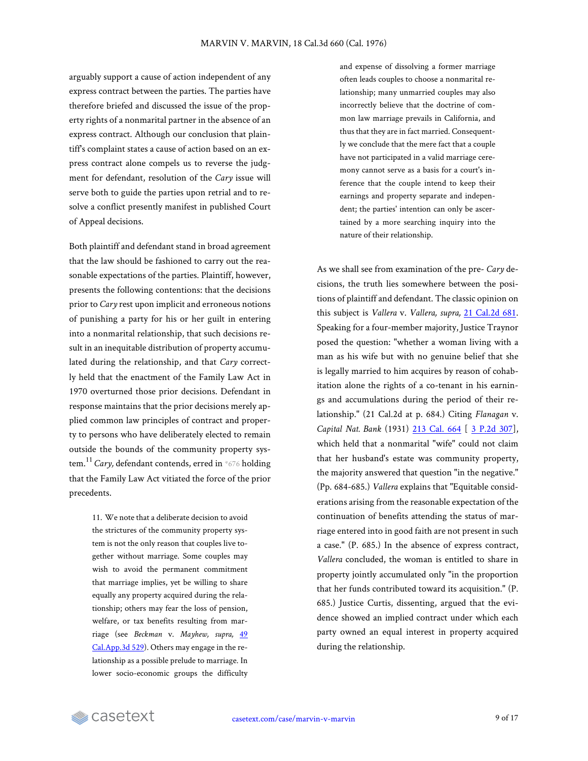arguably support a cause of action independent of any express contract between the parties. The parties have therefore briefed and discussed the issue of the property rights of a nonmarital partner in the absence of an express contract. Although our conclusion that plaintiff's complaint states a cause of action based on an express contract alone compels us to reverse the judgment for defendant, resolution of the *Cary* issue will serve both to guide the parties upon retrial and to resolve a conflict presently manifest in published Court of Appeal decisions.

Both plaintiff and defendant stand in broad agreement that the law should be fashioned to carry out the reasonable expectations of the parties. Plaintiff, however, presents the following contentions: that the decisions prior to *Cary* rest upon implicit and erroneous notions of punishing a party for his or her guilt in entering into a nonmarital relationship, that such decisions result in an inequitable distribution of property accumulated during the relationship, and that *Cary* correctly held that the enactment of the Family Law Act in 1970 overturned those prior decisions. Defendant in response maintains that the prior decisions merely applied common law principles of contract and property to persons who have deliberately elected to remain outside the bounds of the community property system.<sup>11</sup> *Cary,* defendant contends, erred in \*676 holding that the Family Law Act vitiated the force of the prior precedents.

> 11. We note that a deliberate decision to avoid the strictures of the community property system is not the only reason that couples live together without marriage. Some couples may wish to avoid the permanent commitment that marriage implies, yet be willing to share equally any property acquired during the relationship; others may fear the loss of pension, welfare, or tax benefits resulting from marriage (see *Beckman* v. *Mayhew, supra,* [49](https://casetext.com/case/beckman-v-mayhew) [Cal.App.3d](https://casetext.com/case/beckman-v-mayhew) 529). Others may engage in the relationship as a possible prelude to marriage. In lower socio-economic groups the difficulty

and expense of dissolving a former marriage often leads couples to choose a nonmarital relationship; many unmarried couples may also incorrectly believe that the doctrine of common law marriage prevails in California, and thus that they are in fact married. Consequently we conclude that the mere fact that a couple have not participated in a valid marriage ceremony cannot serve as a basis for a court's inference that the couple intend to keep their earnings and property separate and independent; the parties' intention can only be ascertained by a more searching inquiry into the nature of their relationship.

As we shall see from examination of the pre- *Cary* decisions, the truth lies somewhere between the positions of plaintiff and defendant. The classic opinion on this subject is *Vallera* v. *Vallera, supra,* 21 [Cal.2d](https://casetext.com/case/vallera-v-vallera-4) 681. Speaking for a four-member majority, Justice Traynor posed the question: "whether a woman living with a man as his wife but with no genuine belief that she is legally married to him acquires by reason of cohabitation alone the rights of a co-tenant in his earnings and accumulations during the period of their relationship." (21 Cal.2d at p. 684.) Citing *Flanagan* v. *Capital Nat. Bank* (1931) 213 [Cal.](https://casetext.com/case/flanagan-v-capital-nat-bank) 664 [ 3 [P.2d](https://casetext.com/case/flanagan-v-capital-nat-bank) 307], which held that a nonmarital "wife" could not claim that her husband's estate was community property, the majority answered that question "in the negative." (Pp. 684-685.) *Vallera* explains that "Equitable considerations arising from the reasonable expectation of the continuation of benefits attending the status of marriage entered into in good faith are not present in such a case." (P. 685.) In the absence of express contract, *Vallera* concluded, the woman is entitled to share in property jointly accumulated only "in the proportion that her funds contributed toward its acquisition." (P. 685.) Justice Curtis, dissenting, argued that the evidence showed an implied contract under which each party owned an equal interest in property acquired during the relationship.

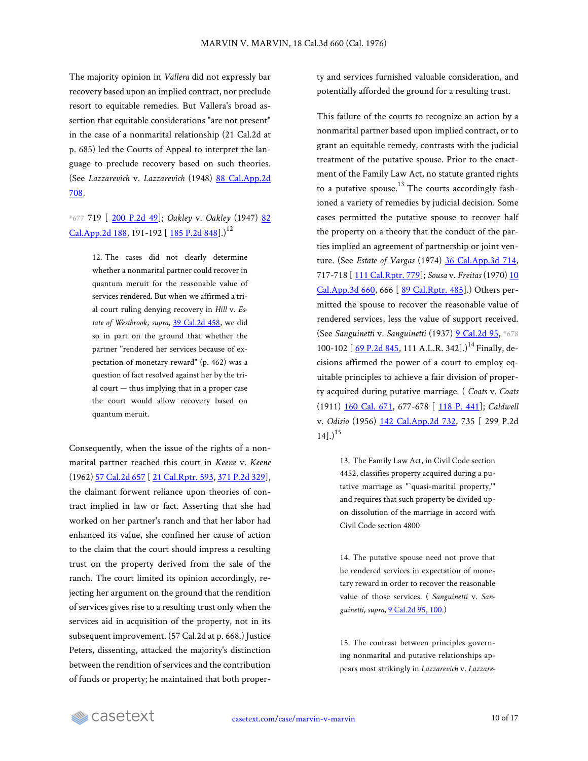The majority opinion in *Vallera* did not expressly bar recovery based upon an implied contract, nor preclude resort to equitable remedies. But Vallera's broad assertion that equitable considerations "are not present" in the case of a nonmarital relationship (21 Cal.2d at p. 685) led the Courts of Appeal to interpret the language to preclude recovery based on such theories. (See *Lazzarevich* v. *Lazzarevich* (1948) 88 [Cal.App.2d](https://casetext.com/case/lazzarevich-v-lazzarevich-3) [708](https://casetext.com/case/lazzarevich-v-lazzarevich-3),

\*677 719 [ 200 [P.2d](https://casetext.com/case/lazzarevich-v-lazzarevich-3) 49]; *Oakley* v. *Oakley* (1947) [82](https://casetext.com/case/oakley-v-oakley-1) [Cal.App.2d 188](https://casetext.com/case/oakley-v-oakley-1), 191-192 [ [185 P.2d 848\]](https://casetext.com/case/oakley-v-oakley-1).)<sup>12</sup>

> 12. The cases did not clearly determine whether a nonmarital partner could recover in quantum meruit for the reasonable value of services rendered. But when we affirmed a trial court ruling denying recovery in *Hill* v. *Estate of Westbrook, supra,* 39 [Cal.2d](https://casetext.com/case/hill-v-estate-of-westbrook) 458, we did so in part on the ground that whether the partner "rendered her services because of expectation of monetary reward" (p. 462) was a question of fact resolved against her by the trial court — thus implying that in a proper case the court would allow recovery based on quantum meruit.

Consequently, when the issue of the rights of a nonmarital partner reached this court in *Keene* v. *Keene* (1962) 57 [Cal.2d](https://casetext.com/case/keene-v-keene) 657 [ 21 [Cal.Rptr.](https://casetext.com/case/keene-v-keene) 593, 371 [P.2d](https://casetext.com/case/keene-v-keene) 329], the claimant forwent reliance upon theories of contract implied in law or fact. Asserting that she had worked on her partner's ranch and that her labor had enhanced its value, she confined her cause of action to the claim that the court should impress a resulting trust on the property derived from the sale of the ranch. The court limited its opinion accordingly, rejecting her argument on the ground that the rendition of services gives rise to a resulting trust only when the services aid in acquisition of the property, not in its subsequent improvement. (57 Cal.2d at p. 668.) Justice Peters, dissenting, attacked the majority's distinction between the rendition of services and the contribution of funds or property; he maintained that both property and services furnished valuable consideration, and potentially afforded the ground for a resulting trust.

This failure of the courts to recognize an action by a nonmarital partner based upon implied contract, or to grant an equitable remedy, contrasts with the judicial treatment of the putative spouse. Prior to the enactment of the Family Law Act, no statute granted rights to a putative spouse.<sup>13</sup> The courts accordingly fashioned a variety of remedies by judicial decision. Some cases permitted the putative spouse to recover half the property on a theory that the conduct of the parties implied an agreement of partnership or joint venture. (See *Estate of Vargas* (1974) 36 [Cal.App.3d](https://casetext.com/case/estate-of-vargas) 714, 717-718 [ 111 [Cal.Rptr.](https://casetext.com/case/estate-of-vargas) 779]; *Sousa* v. *Freitas* (1970) [10](https://casetext.com/case/sousa-v-freitas) [Cal.App.3d](https://casetext.com/case/sousa-v-freitas) 660, 666 [ 89 [Cal.Rptr.](https://casetext.com/case/sousa-v-freitas) 485].) Others permitted the spouse to recover the reasonable value of rendered services, less the value of support received. (See *Sanguinetti* v. *Sanguinetti* (1937) 9 [Cal.2d](https://casetext.com/case/sanguinetti-v-sanguinetti-2) 95, \*678 100-102  $\left[ \frac{69 \text{ P.2d } 845, 111 \text{ A.L.R. } 342 \right]$  $\left[ \frac{69 \text{ P.2d } 845, 111 \text{ A.L.R. } 342 \right]$  $\left[ \frac{69 \text{ P.2d } 845, 111 \text{ A.L.R. } 342 \right]$ .)<sup>14</sup> Finally, decisions affirmed the power of a court to employ equitable principles to achieve a fair division of property acquired during putative marriage. ( *Coats* v. *Coats* (1911) 160 [Cal.](https://casetext.com/case/coats-v-coats) 671, 677-678 [ [118](https://casetext.com/case/coats-v-coats) P. 441]; *Caldwell* v. *Odisio* (1956) 142 [Cal.App.2d](https://casetext.com/case/caldwell-v-odisio) 732, 735 [ 299 P.2d  $14$ ].)<sup>15</sup>

> 13. The Family Law Act, in Civil Code section 4452, classifies property acquired during a putative marriage as "`quasi-marital property,'" and requires that such property be divided upon dissolution of the marriage in accord with Civil Code section 4800

> 14. The putative spouse need not prove that he rendered services in expectation of monetary reward in order to recover the reasonable value of those services. ( *Sanguinetti* v. *Sanguinetti, supra,* [9 Cal.2d 95, 100](https://casetext.com/case/sanguinetti-v-sanguinetti-2#p100).)

> 15. The contrast between principles governing nonmarital and putative relationships appears most strikingly in *Lazzarevich* v. *Lazzare-*

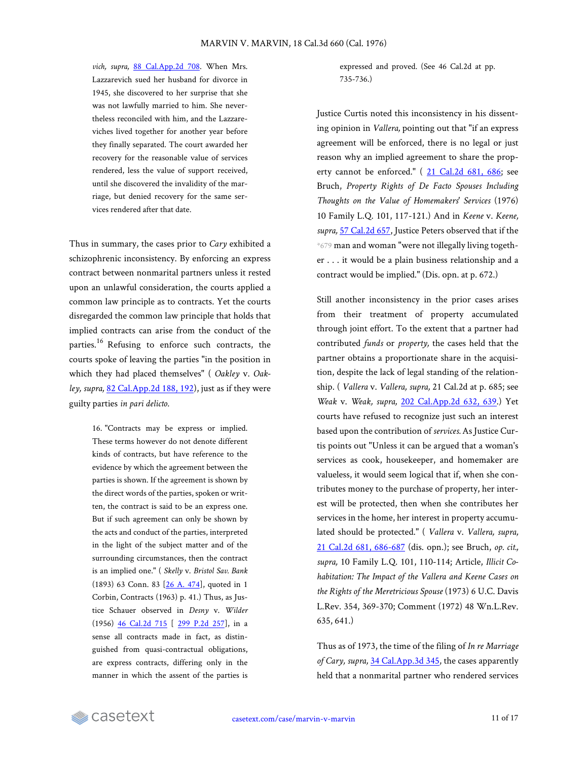*vich, supra,* 88 [Cal.App.2d](https://casetext.com/case/lazzarevich-v-lazzarevich-3) 708. When Mrs. Lazzarevich sued her husband for divorce in 1945, she discovered to her surprise that she was not lawfully married to him. She nevertheless reconciled with him, and the Lazzareviches lived together for another year before they finally separated. The court awarded her recovery for the reasonable value of services rendered, less the value of support received, until she discovered the invalidity of the marriage, but denied recovery for the same services rendered after that date.

Thus in summary, the cases prior to *Cary* exhibited a schizophrenic inconsistency. By enforcing an express contract between nonmarital partners unless it rested upon an unlawful consideration, the courts applied a common law principle as to contracts. Yet the courts disregarded the common law principle that holds that implied contracts can arise from the conduct of the parties.<sup>16</sup> Refusing to enforce such contracts, the courts spoke of leaving the parties "in the position in which they had placed themselves" ( *Oakley* v. *Oakley, supra,* 82 [Cal.App.2d](https://casetext.com/case/oakley-v-oakley-1#p192) 188, 192), just as if they were guilty parties *in pari delicto.*

> 16. "Contracts may be express or implied. These terms however do not denote different kinds of contracts, but have reference to the evidence by which the agreement between the parties is shown. If the agreement is shown by the direct words of the parties, spoken or written, the contract is said to be an express one. But if such agreement can only be shown by the acts and conduct of the parties, interpreted in the light of the subject matter and of the surrounding circumstances, then the contract is an implied one." ( *Skelly* v. *Bristol Sav. Bank* (1893) 63 Conn. 83 [26 A. [474](https://casetext.com/case/skelly-v-bristol-savings-bank)], quoted in 1 Corbin, Contracts (1963) p. 41.) Thus, as Justice Schauer observed in *Desny* v. *Wilder* (1956) 46 [Cal.2d](https://casetext.com/case/desny-v-wilder) 715 [ 299 [P.2d](https://casetext.com/case/desny-v-wilder) 257], in a sense all contracts made in fact, as distinguished from quasi-contractual obligations, are express contracts, differing only in the manner in which the assent of the parties is

expressed and proved. (See 46 Cal.2d at pp. 735-736.)

Justice Curtis noted this inconsistency in his dissenting opinion in *Vallera,* pointing out that "if an express agreement will be enforced, there is no legal or just reason why an implied agreement to share the prop-erty cannot be enforced." (21 [Cal.2d](https://casetext.com/case/vallera-v-vallera-4#p686) 681, 686; see Bruch, *Property Rights of De Facto Spouses Including Thoughts on the Value of Homemakers' Services* (1976) 10 Family L.Q. 101, 117-121.) And in *Keene* v. *Keene, supra,* 57 [Cal.2d](https://casetext.com/case/keene-v-keene) 657, Justice Peters observed that if the \*679 man and woman "were not illegally living together . . . it would be a plain business relationship and a contract would be implied." (Dis. opn. at p. 672.)

Still another inconsistency in the prior cases arises from their treatment of property accumulated through joint effort. To the extent that a partner had contributed *funds* or *property,* the cases held that the partner obtains a proportionate share in the acquisition, despite the lack of legal standing of the relationship. ( *Vallera* v. *Vallera, supra,* 21 Cal.2d at p. 685; see *Weak* v. *Weak, supra,* 202 [Cal.App.2d](https://casetext.com/case/weak-v-weak#p639) 632, 639.) Yet courts have refused to recognize just such an interest based upon the contribution of *services.* As Justice Curtis points out "Unless it can be argued that a woman's services as cook, housekeeper, and homemaker are valueless, it would seem logical that if, when she contributes money to the purchase of property, her interest will be protected, then when she contributes her services in the home, her interest in property accumulated should be protected." ( *Vallera* v. *Vallera, supra,* 21 Cal.2d 681, [686-687](https://casetext.com/case/vallera-v-vallera-4#p686) (dis. opn.); see Bruch, *op. cit., supra,* 10 Family L.Q. 101, 110-114; Article, *Illicit Cohabitation: The Impact of the Vallera and Keene Cases on the Rights of the Meretricious Spouse* (1973) 6 U.C. Davis L.Rev. 354, 369-370; Comment (1972) 48 Wn.L.Rev. 635, 641.)

Thus as of 1973, the time of the filing of *In re Marriage of Cary, supra,* 34 [Cal.App.3d](https://casetext.com/case/in-re-marriage-of-cary) 345, the cases apparently held that a nonmarital partner who rendered services

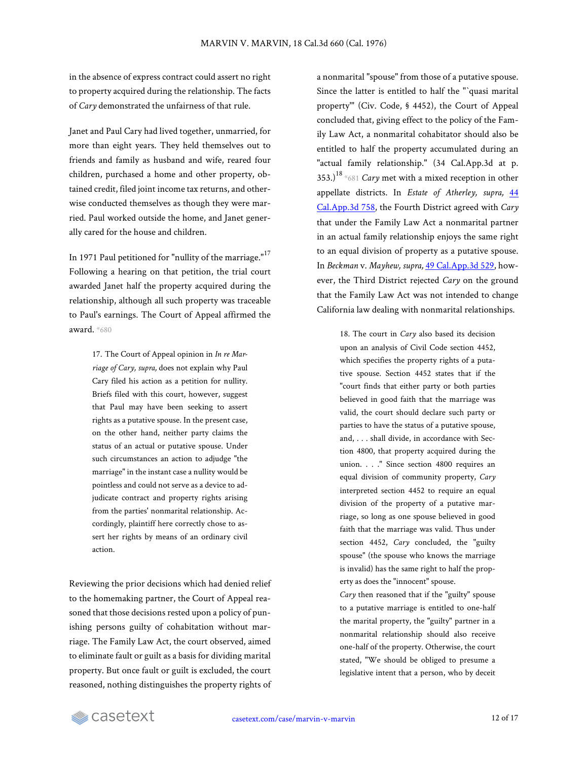in the absence of express contract could assert no right to property acquired during the relationship. The facts of *Cary* demonstrated the unfairness of that rule.

Janet and Paul Cary had lived together, unmarried, for more than eight years. They held themselves out to friends and family as husband and wife, reared four children, purchased a home and other property, obtained credit, filed joint income tax returns, and otherwise conducted themselves as though they were married. Paul worked outside the home, and Janet generally cared for the house and children.

In 1971 Paul petitioned for "nullity of the marriage." $17$ Following a hearing on that petition, the trial court awarded Janet half the property acquired during the relationship, although all such property was traceable to Paul's earnings. The Court of Appeal affirmed the award. \*680

> 17. The Court of Appeal opinion in *In re Marriage of Cary, supra,* does not explain why Paul Cary filed his action as a petition for nullity. Briefs filed with this court, however, suggest that Paul may have been seeking to assert rights as a putative spouse. In the present case, on the other hand, neither party claims the status of an actual or putative spouse. Under such circumstances an action to adjudge "the marriage" in the instant case a nullity would be pointless and could not serve as a device to adjudicate contract and property rights arising from the parties' nonmarital relationship. Accordingly, plaintiff here correctly chose to assert her rights by means of an ordinary civil action.

Reviewing the prior decisions which had denied relief to the homemaking partner, the Court of Appeal reasoned that those decisions rested upon a policy of punishing persons guilty of cohabitation without marriage. The Family Law Act, the court observed, aimed to eliminate fault or guilt as a basis for dividing marital property. But once fault or guilt is excluded, the court reasoned, nothing distinguishes the property rights of a nonmarital "spouse" from those of a putative spouse. Since the latter is entitled to half the "`quasi marital property'" (Civ. Code, § 4452), the Court of Appeal concluded that, giving effect to the policy of the Family Law Act, a nonmarital cohabitator should also be entitled to half the property accumulated during an "actual family relationship." (34 Cal.App.3d at p.  $353.$ )<sup>18</sup> \*681 *Cary* met with a mixed reception in other appellate districts. In *Estate of Atherley, supra,* [44](https://casetext.com/case/estate-of-atherley) [Cal.App.3d](https://casetext.com/case/estate-of-atherley) 758, the Fourth District agreed with *Cary* that under the Family Law Act a nonmarital partner in an actual family relationship enjoys the same right to an equal division of property as a putative spouse. In *Beckman* v. *Mayhew, supra,* 49 [Cal.App.3d](https://casetext.com/case/beckman-v-mayhew) 529, however, the Third District rejected *Cary* on the ground that the Family Law Act was not intended to change California law dealing with nonmarital relationships.

> 18. The court in *Cary* also based its decision upon an analysis of Civil Code section 4452, which specifies the property rights of a putative spouse. Section 4452 states that if the "court finds that either party or both parties believed in good faith that the marriage was valid, the court should declare such party or parties to have the status of a putative spouse, and, . . . shall divide, in accordance with Section 4800, that property acquired during the union. . . ." Since section 4800 requires an equal division of community property, *Cary* interpreted section 4452 to require an equal division of the property of a putative marriage, so long as one spouse believed in good faith that the marriage was valid. Thus under section 4452, *Cary* concluded, the "guilty spouse" (the spouse who knows the marriage is invalid) has the same right to half the property as does the "innocent" spouse.

> *Cary* then reasoned that if the "guilty" spouse to a putative marriage is entitled to one-half the marital property, the "guilty" partner in a nonmarital relationship should also receive one-half of the property. Otherwise, the court stated, "We should be obliged to presume a legislative intent that a person, who by deceit

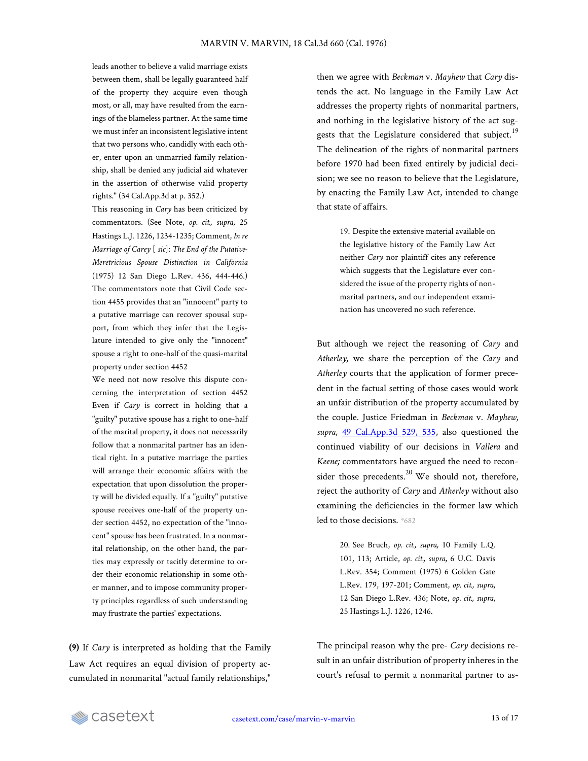leads another to believe a valid marriage exists between them, shall be legally guaranteed half of the property they acquire even though most, or all, may have resulted from the earnings of the blameless partner. At the same time we must infer an inconsistent legislative intent that two persons who, candidly with each other, enter upon an unmarried family relationship, shall be denied any judicial aid whatever in the assertion of otherwise valid property rights." (34 Cal.App.3d at p. 352.)

This reasoning in *Cary* has been criticized by commentators. (See Note, *op. cit., supra,* 25 Hastings L.J. 1226, 1234-1235; Comment, *In re Marriage of Carey* [ *sic*]: *The End of the Putative-Meretricious Spouse Distinction in California* (1975) 12 San Diego L.Rev. 436, 444-446.) The commentators note that Civil Code section 4455 provides that an "innocent" party to a putative marriage can recover spousal support, from which they infer that the Legislature intended to give only the "innocent" spouse a right to one-half of the quasi-marital property under section 4452

We need not now resolve this dispute concerning the interpretation of section 4452 Even if *Cary* is correct in holding that a "guilty" putative spouse has a right to one-half of the marital property, it does not necessarily follow that a nonmarital partner has an identical right. In a putative marriage the parties will arrange their economic affairs with the expectation that upon dissolution the property will be divided equally. If a "guilty" putative spouse receives one-half of the property under section 4452, no expectation of the "innocent" spouse has been frustrated. In a nonmarital relationship, on the other hand, the parties may expressly or tacitly determine to order their economic relationship in some other manner, and to impose community property principles regardless of such understanding may frustrate the parties' expectations.

**(9)** If *Cary* is interpreted as holding that the Family Law Act requires an equal division of property accumulated in nonmarital "actual family relationships,"

then we agree with *Beckman* v. *Mayhew* that *Cary* distends the act. No language in the Family Law Act addresses the property rights of nonmarital partners, and nothing in the legislative history of the act suggests that the Legislature considered that subject.<sup>19</sup> The delineation of the rights of nonmarital partners before 1970 had been fixed entirely by judicial decision; we see no reason to believe that the Legislature, by enacting the Family Law Act, intended to change that state of affairs.

> 19. Despite the extensive material available on the legislative history of the Family Law Act neither *Cary* nor plaintiff cites any reference which suggests that the Legislature ever considered the issue of the property rights of nonmarital partners, and our independent examination has uncovered no such reference.

But although we reject the reasoning of *Cary* and *Atherley,* we share the perception of the *Cary* and *Atherley* courts that the application of former precedent in the factual setting of those cases would work an unfair distribution of the property accumulated by the couple. Justice Friedman in *Beckman* v. *Mayhew, supra,* 49 [Cal.App.3d](https://casetext.com/case/beckman-v-mayhew#p535) 529, 535, also questioned the continued viability of our decisions in *Vallera* and *Keene;* commentators have argued the need to reconsider those precedents. $^{20}$  We should not, therefore, reject the authority of *Cary* and *Atherley* without also examining the deficiencies in the former law which led to those decisions. \*682

> 20. See Bruch, *op. cit., supra,* 10 Family L.Q. 101, 113; Article, *op. cit., supra,* 6 U.C. Davis L.Rev. 354; Comment (1975) 6 Golden Gate L.Rev. 179, 197-201; Comment, *op. cit., supra,* 12 San Diego L.Rev. 436; Note, *op. cit., supra,* 25 Hastings L.J. 1226, 1246.

The principal reason why the pre- *Cary* decisions result in an unfair distribution of property inheres in the court's refusal to permit a nonmarital partner to as-

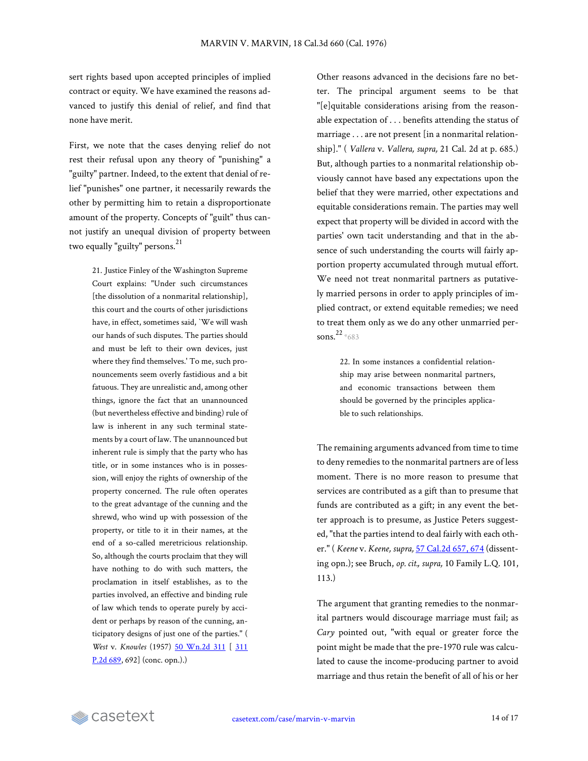sert rights based upon accepted principles of implied contract or equity. We have examined the reasons advanced to justify this denial of relief, and find that none have merit.

First, we note that the cases denying relief do not rest their refusal upon any theory of "punishing" a "guilty" partner. Indeed, to the extent that denial of relief "punishes" one partner, it necessarily rewards the other by permitting him to retain a disproportionate amount of the property. Concepts of "guilt" thus cannot justify an unequal division of property between two equally "guilty" persons.<sup>21</sup>

> 21. Justice Finley of the Washington Supreme Court explains: "Under such circumstances [the dissolution of a nonmarital relationship], this court and the courts of other jurisdictions have, in effect, sometimes said, `We will wash our hands of such disputes. The parties should and must be left to their own devices, just where they find themselves.' To me, such pronouncements seem overly fastidious and a bit fatuous. They are unrealistic and, among other things, ignore the fact that an unannounced (but nevertheless effective and binding) rule of law is inherent in any such terminal statements by a court of law. The unannounced but inherent rule is simply that the party who has title, or in some instances who is in possession, will enjoy the rights of ownership of the property concerned. The rule often operates to the great advantage of the cunning and the shrewd, who wind up with possession of the property, or title to it in their names, at the end of a so-called meretricious relationship. So, although the courts proclaim that they will have nothing to do with such matters, the proclamation in itself establishes, as to the parties involved, an effective and binding rule of law which tends to operate purely by accident or perhaps by reason of the cunning, anticipatory designs of just one of the parties." ( *West* v. *Knowles* (1957) 50 [Wn.2d](https://casetext.com/case/west-v-knowles) 311 [ [311](https://casetext.com/case/west-v-knowles) [P.2d 689](https://casetext.com/case/west-v-knowles), 692] (conc. opn.).)

Other reasons advanced in the decisions fare no better. The principal argument seems to be that "[e]quitable considerations arising from the reasonable expectation of . . . benefits attending the status of marriage . . . are not present [in a nonmarital relationship]." ( *Vallera* v. *Vallera, supra,* 21 Cal. 2d at p. 685.) But, although parties to a nonmarital relationship obviously cannot have based any expectations upon the belief that they were married, other expectations and equitable considerations remain. The parties may well expect that property will be divided in accord with the parties' own tacit understanding and that in the absence of such understanding the courts will fairly apportion property accumulated through mutual effort. We need not treat nonmarital partners as putatively married persons in order to apply principles of implied contract, or extend equitable remedies; we need to treat them only as we do any other unmarried persons.<sup>22</sup> \*683

> 22. In some instances a confidential relationship may arise between nonmarital partners, and economic transactions between them should be governed by the principles applicable to such relationships.

The remaining arguments advanced from time to time to deny remedies to the nonmarital partners are of less moment. There is no more reason to presume that services are contributed as a gift than to presume that funds are contributed as a gift; in any event the better approach is to presume, as Justice Peters suggested, "that the parties intend to deal fairly with each other." ( *Keene* v. *Keene, supra,* 57 [Cal.2d](https://casetext.com/case/keene-v-keene#p674) 657, 674 (dissenting opn.); see Bruch, *op. cit., supra,* 10 Family L.Q. 101, 113.)

The argument that granting remedies to the nonmarital partners would discourage marriage must fail; as *Cary* pointed out, "with equal or greater force the point might be made that the pre-1970 rule was calculated to cause the income-producing partner to avoid marriage and thus retain the benefit of all of his or her

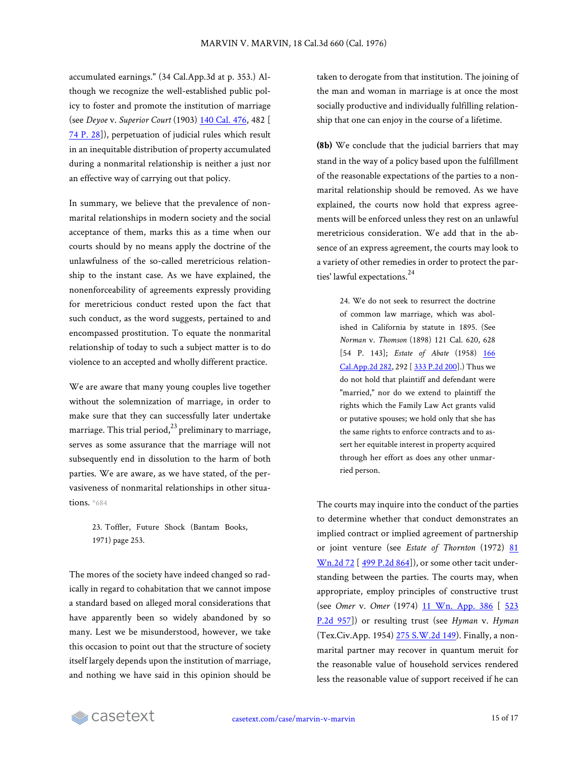accumulated earnings." (34 Cal.App.3d at p. 353.) Although we recognize the well-established public policy to foster and promote the institution of marriage (see *Deyoe* v. *Superior Court* (1903) 140 [Cal.](https://casetext.com/case/deyoe-v-superior-court) 476, 482 [ [74](https://casetext.com/case/deyoe-v-superior-court) P. 28]), perpetuation of judicial rules which result in an inequitable distribution of property accumulated during a nonmarital relationship is neither a just nor an effective way of carrying out that policy.

In summary, we believe that the prevalence of nonmarital relationships in modern society and the social acceptance of them, marks this as a time when our courts should by no means apply the doctrine of the unlawfulness of the so-called meretricious relationship to the instant case. As we have explained, the nonenforceability of agreements expressly providing for meretricious conduct rested upon the fact that such conduct, as the word suggests, pertained to and encompassed prostitution. To equate the nonmarital relationship of today to such a subject matter is to do violence to an accepted and wholly different practice.

We are aware that many young couples live together without the solemnization of marriage, in order to make sure that they can successfully later undertake marriage. This trial period, $^{23}$  preliminary to marriage, serves as some assurance that the marriage will not subsequently end in dissolution to the harm of both parties. We are aware, as we have stated, of the pervasiveness of nonmarital relationships in other situations. \*684

> 23. Toffler, Future Shock (Bantam Books, 1971) page 253.

The mores of the society have indeed changed so radically in regard to cohabitation that we cannot impose a standard based on alleged moral considerations that have apparently been so widely abandoned by so many. Lest we be misunderstood, however, we take this occasion to point out that the structure of society itself largely depends upon the institution of marriage, and nothing we have said in this opinion should be

taken to derogate from that institution. The joining of the man and woman in marriage is at once the most socially productive and individually fulfilling relationship that one can enjoy in the course of a lifetime.

**(8b)** We conclude that the judicial barriers that may stand in the way of a policy based upon the fulfillment of the reasonable expectations of the parties to a nonmarital relationship should be removed. As we have explained, the courts now hold that express agreements will be enforced unless they rest on an unlawful meretricious consideration. We add that in the absence of an express agreement, the courts may look to a variety of other remedies in order to protect the parties' lawful expectations.<sup>24</sup>

> 24. We do not seek to resurrect the doctrine of common law marriage, which was abolished in California by statute in 1895. (See *Norman* v. *Thomson* (1898) 121 Cal. 620, 628 [54 P. 143]; *Estate of Abate* (1958) [166](https://casetext.com/case/estate-of-abate) [Cal.App.2d](https://casetext.com/case/estate-of-abate) 282, 292 [ 333 [P.2d](https://casetext.com/case/estate-of-abate) 200].) Thus we do not hold that plaintiff and defendant were "married," nor do we extend to plaintiff the rights which the Family Law Act grants valid or putative spouses; we hold only that she has the same rights to enforce contracts and to assert her equitable interest in property acquired through her effort as does any other unmarried person.

The courts may inquire into the conduct of the parties to determine whether that conduct demonstrates an implied contract or implied agreement of partnership or joint venture (see *Estate of Thornton* (1972) [81](https://casetext.com/case/in-re-estate-of-thornton-3) [Wn.2d](https://casetext.com/case/in-re-estate-of-thornton-3) 72 [ 499 [P.2d](https://casetext.com/case/in-re-estate-of-thornton-3) 864]), or some other tacit understanding between the parties. The courts may, when appropriate, employ principles of constructive trust (see *Omer* v. *Omer* (1974) 11 Wn. [App.](https://casetext.com/case/omer-v-omer-1) 386 [ [523](https://casetext.com/case/omer-v-omer-1) [P.2d](https://casetext.com/case/omer-v-omer-1) 957]) or resulting trust (see *Hyman* v. *Hyman* (Tex.Civ.App. 1954) 275 [S.W.2d](https://casetext.com/case/hyman-v-hyman-11) 149). Finally, a nonmarital partner may recover in quantum meruit for the reasonable value of household services rendered less the reasonable value of support received if he can

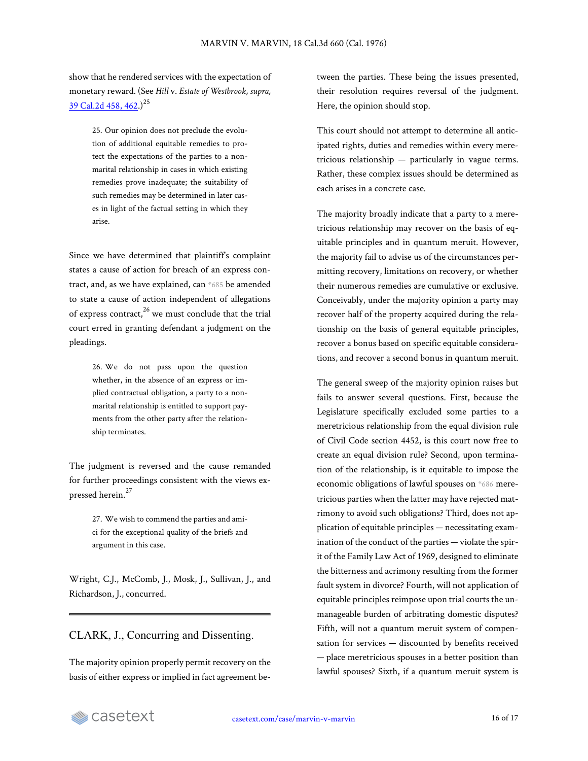show that he rendered services with the expectation of monetary reward. (See *Hill* v. *Estate of Westbrook, supra,* 39 Cal. 2d 458, 462.)<sup>25</sup>

> 25. Our opinion does not preclude the evolution of additional equitable remedies to protect the expectations of the parties to a nonmarital relationship in cases in which existing remedies prove inadequate; the suitability of such remedies may be determined in later cases in light of the factual setting in which they arise.

Since we have determined that plaintiff's complaint states a cause of action for breach of an express contract, and, as we have explained, can \*685 be amended to state a cause of action independent of allegations of express contract,  $^{26}$  we must conclude that the trial court erred in granting defendant a judgment on the pleadings.

> 26. We do not pass upon the question whether, in the absence of an express or implied contractual obligation, a party to a nonmarital relationship is entitled to support payments from the other party after the relationship terminates.

The judgment is reversed and the cause remanded for further proceedings consistent with the views expressed herein.<sup>27</sup>

> 27. We wish to commend the parties and amici for the exceptional quality of the briefs and argument in this case.

Wright, C.J., McComb, J., Mosk, J., Sullivan, J., and Richardson, J., concurred.

### CLARK, J., Concurring and Dissenting.

The majority opinion properly permit recovery on the basis of either express or implied in fact agreement between the parties. These being the issues presented, their resolution requires reversal of the judgment. Here, the opinion should stop.

This court should not attempt to determine all anticipated rights, duties and remedies within every meretricious relationship — particularly in vague terms. Rather, these complex issues should be determined as each arises in a concrete case.

The majority broadly indicate that a party to a meretricious relationship may recover on the basis of equitable principles and in quantum meruit. However, the majority fail to advise us of the circumstances permitting recovery, limitations on recovery, or whether their numerous remedies are cumulative or exclusive. Conceivably, under the majority opinion a party may recover half of the property acquired during the relationship on the basis of general equitable principles, recover a bonus based on specific equitable considerations, and recover a second bonus in quantum meruit.

The general sweep of the majority opinion raises but fails to answer several questions. First, because the Legislature specifically excluded some parties to a meretricious relationship from the equal division rule of Civil Code section 4452, is this court now free to create an equal division rule? Second, upon termination of the relationship, is it equitable to impose the economic obligations of lawful spouses on \*686 meretricious parties when the latter may have rejected matrimony to avoid such obligations? Third, does not application of equitable principles — necessitating examination of the conduct of the parties — violate the spirit of the Family Law Act of 1969, designed to eliminate the bitterness and acrimony resulting from the former fault system in divorce? Fourth, will not application of equitable principles reimpose upon trial courts the unmanageable burden of arbitrating domestic disputes? Fifth, will not a quantum meruit system of compensation for services — discounted by benefits received — place meretricious spouses in a better position than lawful spouses? Sixth, if a quantum meruit system is